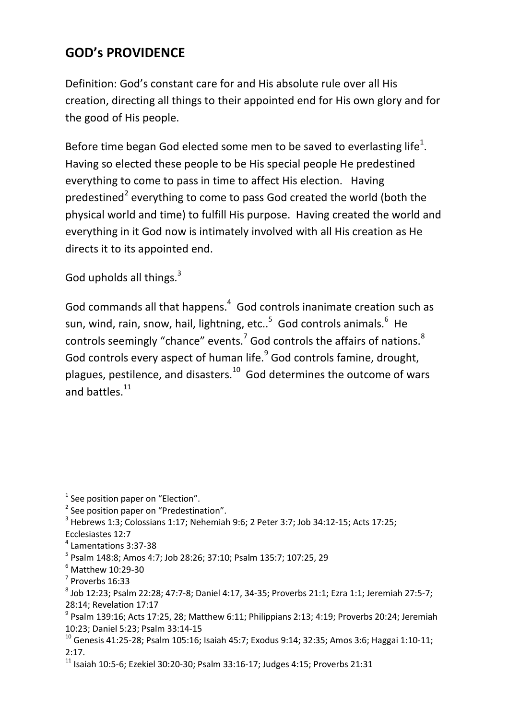## **GOD's PROVIDENCE**

Definition: God's constant care for and His absolute rule over all His creation, directing all things to their appointed end for His own glory and for the good of His people.

Before time began God elected some men to be saved to everlasting life<sup>1</sup>. Having so elected these people to be His special people He predestined everything to come to pass in time to affect His election. Having predestined<sup>2</sup> everything to come to pass God created the world (both the physical world and time) to fulfill His purpose. Having created the world and everything in it God now is intimately involved with all His creation as He directs it to its appointed end.

God upholds all things. $3$ 

God commands all that happens. $4\,$  God controls inanimate creation such as sun, wind, rain, snow, hail, lightning, etc..<sup>5</sup> God controls animals.<sup>6</sup> He controls seemingly "chance" events.<sup>7</sup> God controls the affairs of nations.<sup>8</sup> God controls every aspect of human life.<sup>9</sup> God controls famine, drought, plagues, pestilence, and disasters. $10\,$  God determines the outcome of wars and battles. $^{11}$ 

Ecclesiastes 12:7

<u>.</u>

 $<sup>1</sup>$  See position paper on "Election".</sup>

<sup>&</sup>lt;sup>2</sup> See position paper on "Predestination".

 $^3$  Hebrews 1:3; Colossians 1:17; Nehemiah 9:6; 2 Peter 3:7; Job 34:12-15; Acts 17:25;

<sup>4</sup> Lamentations 3:37-38

<sup>5</sup> Psalm 148:8; Amos 4:7; Job 28:26; 37:10; Psalm 135:7; 107:25, 29

<sup>6</sup> Matthew 10:29-30

<sup>7</sup> Proverbs 16:33

<sup>8</sup> Job 12:23; Psalm 22:28; 47:7-8; Daniel 4:17, 34-35; Proverbs 21:1; Ezra 1:1; Jeremiah 27:5-7; 28:14; Revelation 17:17

 $9$  Psalm 139:16; Acts 17:25, 28; Matthew 6:11; Philippians 2:13; 4:19; Proverbs 20:24; Jeremiah 10:23; Daniel 5:23; Psalm 33:14-15

 $10$  Genesis 41:25-28; Psalm 105:16; Isaiah 45:7; Exodus 9:14; 32:35; Amos 3:6; Haggai 1:10-11; 2:17.

 $11$  Isaiah 10:5-6; Ezekiel 30:20-30; Psalm 33:16-17; Judges 4:15; Proverbs 21:31